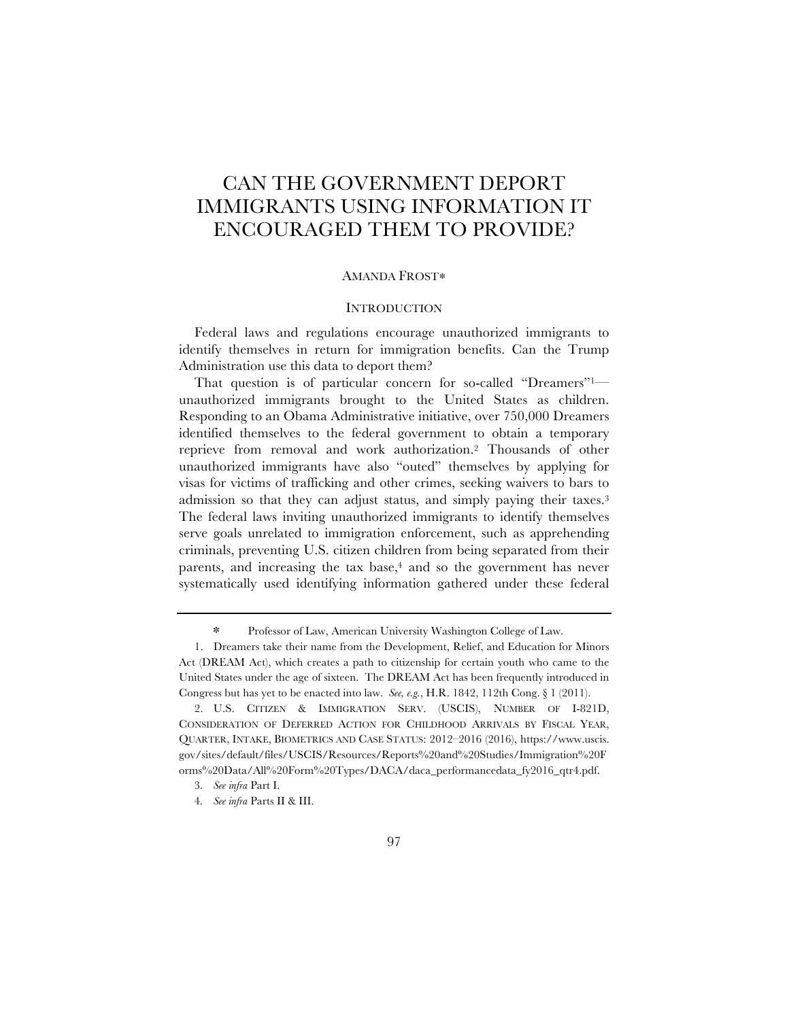# CAN THE GOVERNMENT DEPORT IMMIGRANTS USING INFORMATION IT ENCOURAGED THEM TO PROVIDE?

## AMANDA FROST∗

## **INTRODUCTION**

Federal laws and regulations encourage unauthorized immigrants to identify themselves in return for immigration benefits. Can the Trump Administration use this data to deport them?

That question is of particular concern for so-called "Dreamers"1 unauthorized immigrants brought to the United States as children. Responding to an Obama Administrative initiative, over 750,000 Dreamers identified themselves to the federal government to obtain a temporary reprieve from removal and work authorization.2 Thousands of other unauthorized immigrants have also "outed" themselves by applying for visas for victims of trafficking and other crimes, seeking waivers to bars to admission so that they can adjust status, and simply paying their taxes.3 The federal laws inviting unauthorized immigrants to identify themselves serve goals unrelated to immigration enforcement, such as apprehending criminals, preventing U.S. citizen children from being separated from their parents, and increasing the tax base,<sup>4</sup> and so the government has never systematically used identifying information gathered under these federal

<sup>∗</sup> Professor of Law, American University Washington College of Law.

<sup>1.</sup> Dreamers take their name from the Development, Relief, and Education for Minors Act (DREAM Act), which creates a path to citizenship for certain youth who came to the United States under the age of sixteen. The DREAM Act has been frequently introduced in Congress but has yet to be enacted into law. *See, e.g.*, H.R. 1842, 112th Cong. § 1 (2011).

<sup>2.</sup> U.S. CITIZEN & IMMIGRATION SERV. (USCIS), NUMBER OF I-821D, CONSIDERATION OF DEFERRED ACTION FOR CHILDHOOD ARRIVALS BY FISCAL YEAR, QUARTER, INTAKE, BIOMETRICS AND CASE STATUS: 2012–2016 (2016), https://www.uscis. gov/sites/default/files/USCIS/Resources/Reports%20and%20Studies/Immigration%20F orms%20Data/All%20Form%20Types/DACA/daca\_performancedata\_fy2016\_qtr4.pdf.

<sup>3</sup>*. See infra* Part I.

<sup>4</sup>*. See infra* Parts II & III.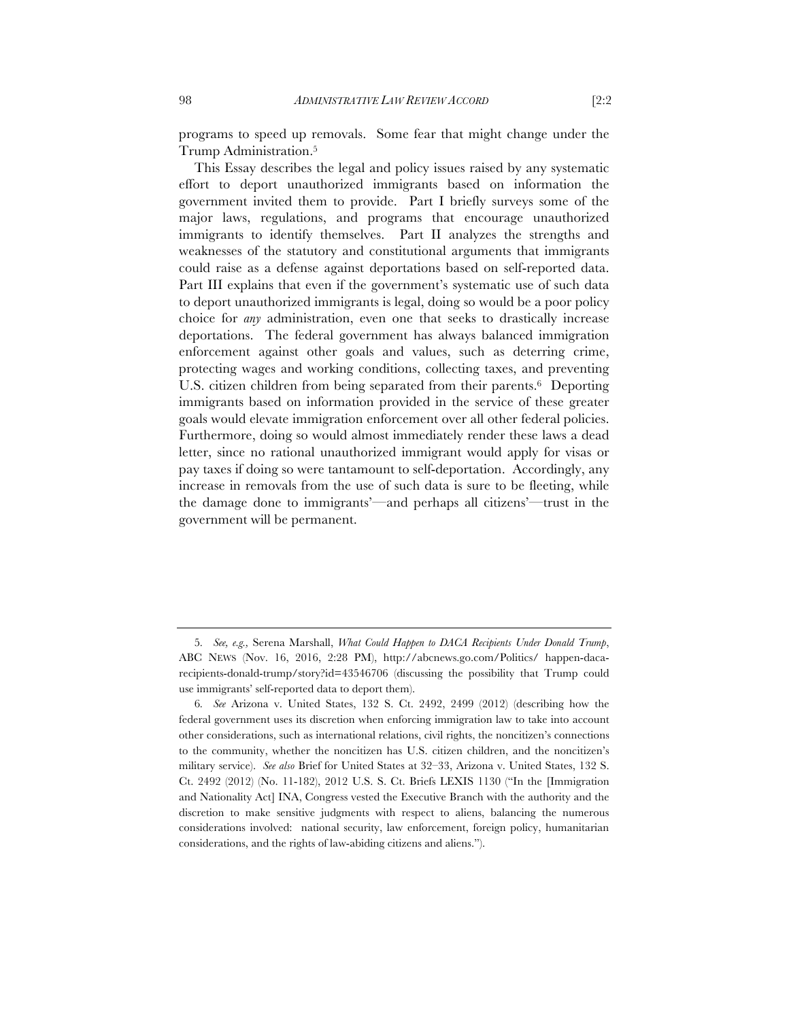programs to speed up removals. Some fear that might change under the Trump Administration.5

This Essay describes the legal and policy issues raised by any systematic effort to deport unauthorized immigrants based on information the government invited them to provide. Part I briefly surveys some of the major laws, regulations, and programs that encourage unauthorized immigrants to identify themselves. Part II analyzes the strengths and weaknesses of the statutory and constitutional arguments that immigrants could raise as a defense against deportations based on self-reported data. Part III explains that even if the government's systematic use of such data to deport unauthorized immigrants is legal, doing so would be a poor policy choice for *any* administration, even one that seeks to drastically increase deportations. The federal government has always balanced immigration enforcement against other goals and values, such as deterring crime, protecting wages and working conditions, collecting taxes, and preventing U.S. citizen children from being separated from their parents.6 Deporting immigrants based on information provided in the service of these greater goals would elevate immigration enforcement over all other federal policies. Furthermore, doing so would almost immediately render these laws a dead letter, since no rational unauthorized immigrant would apply for visas or pay taxes if doing so were tantamount to self-deportation. Accordingly, any increase in removals from the use of such data is sure to be fleeting, while the damage done to immigrants'—and perhaps all citizens'—trust in the government will be permanent.

<sup>5</sup>*. See, e.g.,* Serena Marshall, *What Could Happen to DACA Recipients Under Donald Trump*, ABC NEWS (Nov. 16, 2016, 2:28 PM), http://abcnews.go.com/Politics/ happen-dacarecipients-donald-trump/story?id=43546706 (discussing the possibility that Trump could use immigrants' self-reported data to deport them).

<sup>6</sup>*. See* Arizona v. United States, 132 S. Ct. 2492, 2499 (2012) (describing how the federal government uses its discretion when enforcing immigration law to take into account other considerations, such as international relations, civil rights, the noncitizen's connections to the community, whether the noncitizen has U.S. citizen children, and the noncitizen's military service). *See also* Brief for United States at 32–33, Arizona v. United States, 132 S. Ct. 2492 (2012) (No. 11-182), 2012 U.S. S. Ct. Briefs LEXIS 1130 ("In the [Immigration and Nationality Act] INA, Congress vested the Executive Branch with the authority and the discretion to make sensitive judgments with respect to aliens, balancing the numerous considerations involved: national security, law enforcement, foreign policy, humanitarian considerations, and the rights of law-abiding citizens and aliens.").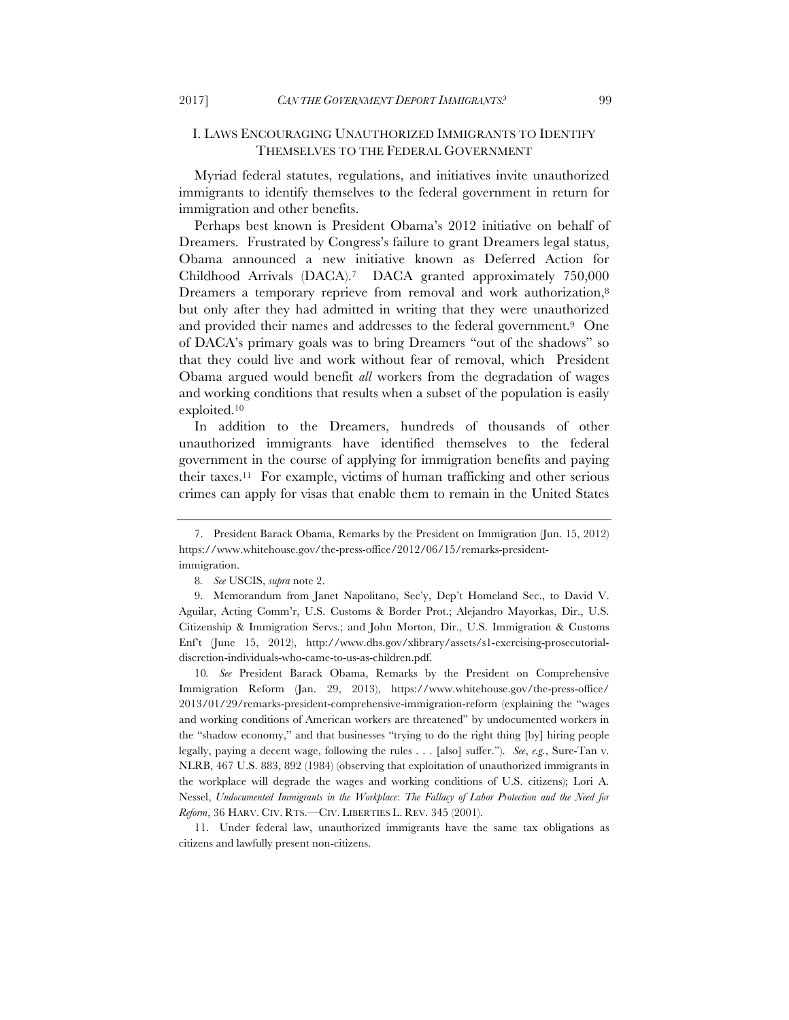# I. LAWS ENCOURAGING UNAUTHORIZED IMMIGRANTS TO IDENTIFY THEMSELVES TO THE FEDERAL GOVERNMENT

Myriad federal statutes, regulations, and initiatives invite unauthorized immigrants to identify themselves to the federal government in return for immigration and other benefits.

Perhaps best known is President Obama's 2012 initiative on behalf of Dreamers. Frustrated by Congress's failure to grant Dreamers legal status, Obama announced a new initiative known as Deferred Action for Childhood Arrivals (DACA).7 DACA granted approximately 750,000 Dreamers a temporary reprieve from removal and work authorization,<sup>8</sup> but only after they had admitted in writing that they were unauthorized and provided their names and addresses to the federal government.9 One of DACA's primary goals was to bring Dreamers "out of the shadows" so that they could live and work without fear of removal, which President Obama argued would benefit *all* workers from the degradation of wages and working conditions that results when a subset of the population is easily exploited.10

In addition to the Dreamers, hundreds of thousands of other unauthorized immigrants have identified themselves to the federal government in the course of applying for immigration benefits and paying their taxes.11 For example, victims of human trafficking and other serious crimes can apply for visas that enable them to remain in the United States

10*. See* President Barack Obama, Remarks by the President on Comprehensive Immigration Reform (Jan. 29, 2013), https://www.whitehouse.gov/the-press-office/ 2013/01/29/remarks-president-comprehensive-immigration-reform (explaining the "wages and working conditions of American workers are threatened" by undocumented workers in the "shadow economy," and that businesses "trying to do the right thing [by] hiring people legally, paying a decent wage, following the rules . . . [also] suffer."). *See*, *e.g.*, Sure-Tan v. NLRB, 467 U.S. 883, 892 (1984) (observing that exploitation of unauthorized immigrants in the workplace will degrade the wages and working conditions of U.S. citizens); Lori A. Nessel, *Undocumented Immigrants in the Workplace*: *The Fallacy of Labor Protection and the Need for Reform*, 36 HARV. CIV. RTS.—CIV. LIBERTIES L. REV. 345 (2001).

11. Under federal law, unauthorized immigrants have the same tax obligations as citizens and lawfully present non-citizens.

<sup>7.</sup> President Barack Obama, Remarks by the President on Immigration (Jun. 15, 2012) https://www.whitehouse.gov/the-press-office/2012/06/15/remarks-presidentimmigration.

<sup>8</sup>*. See* USCIS, *supra* note 2.

<sup>9.</sup> Memorandum from Janet Napolitano, Sec'y, Dep't Homeland Sec., to David V. Aguilar, Acting Comm'r, U.S. Customs & Border Prot.; Alejandro Mayorkas, Dir., U.S. Citizenship & Immigration Servs.; and John Morton, Dir., U.S. Immigration & Customs Enf't (June 15, 2012), http://www.dhs.gov/xlibrary/assets/s1-exercising-prosecutorialdiscretion-individuals-who-came-to-us-as-children.pdf.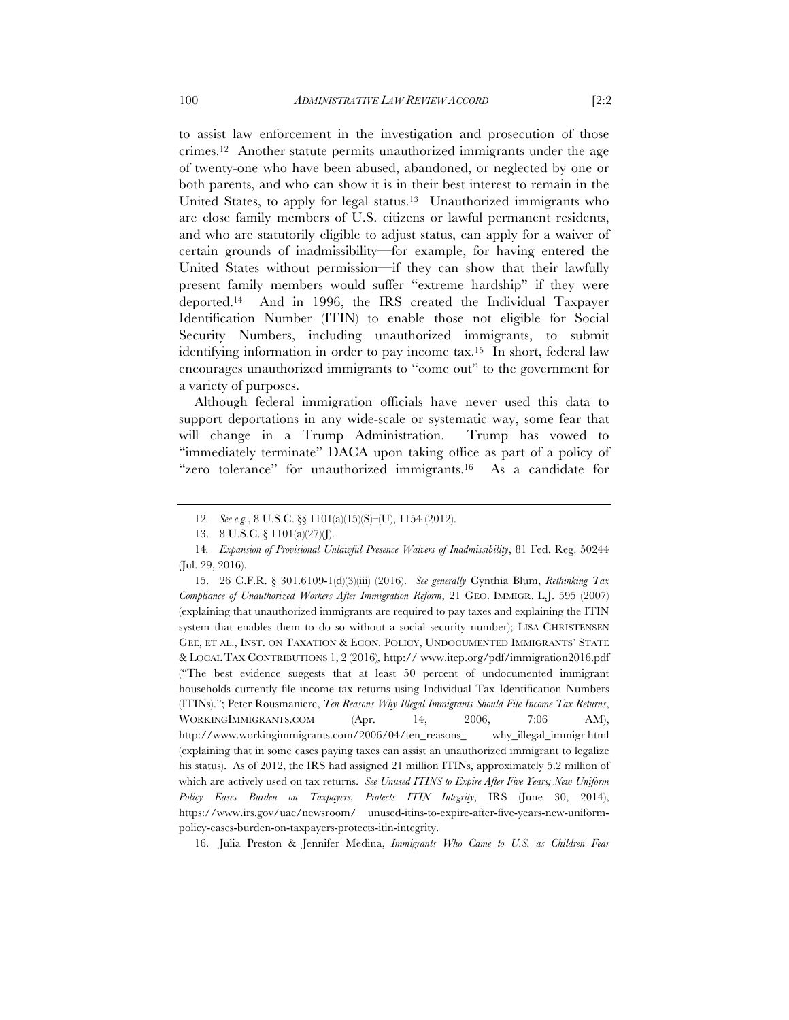to assist law enforcement in the investigation and prosecution of those crimes.12 Another statute permits unauthorized immigrants under the age of twenty-one who have been abused, abandoned, or neglected by one or both parents, and who can show it is in their best interest to remain in the United States, to apply for legal status.<sup>13</sup> Unauthorized immigrants who are close family members of U.S. citizens or lawful permanent residents, and who are statutorily eligible to adjust status, can apply for a waiver of certain grounds of inadmissibility—for example, for having entered the United States without permission—if they can show that their lawfully present family members would suffer "extreme hardship" if they were deported.14 And in 1996, the IRS created the Individual Taxpayer Identification Number (ITIN) to enable those not eligible for Social Security Numbers, including unauthorized immigrants, to submit identifying information in order to pay income tax.15 In short, federal law encourages unauthorized immigrants to "come out" to the government for a variety of purposes.

Although federal immigration officials have never used this data to support deportations in any wide-scale or systematic way, some fear that will change in a Trump Administration. Trump has vowed to "immediately terminate" DACA upon taking office as part of a policy of "zero tolerance" for unauthorized immigrants.16 As a candidate for

15. 26 C.F.R. § 301.6109-1(d)(3)(iii) (2016). *See generally* Cynthia Blum, *Rethinking Tax Compliance of Unauthorized Workers After Immigration Reform*, 21 GEO. IMMIGR. L.J. 595 (2007) (explaining that unauthorized immigrants are required to pay taxes and explaining the ITIN system that enables them to do so without a social security number); LISA CHRISTENSEN GEE, ET AL., INST. ON TAXATION & ECON. POLICY, UNDOCUMENTED IMMIGRANTS' STATE & LOCAL TAX CONTRIBUTIONS 1, 2 (2016)*,* http:// www.itep.org/pdf/immigration2016.pdf ("The best evidence suggests that at least 50 percent of undocumented immigrant households currently file income tax returns using Individual Tax Identification Numbers (ITINs)."; Peter Rousmaniere, *Ten Reasons Why Illegal Immigrants Should File Income Tax Returns*, WORKINGIMMIGRANTS.COM (Apr. 14, 2006, 7:06 AM), http://www.workingimmigrants.com/2006/04/ten\_reasons\_ why\_illegal\_immigr.html (explaining that in some cases paying taxes can assist an unauthorized immigrant to legalize his status). As of 2012, the IRS had assigned 21 million ITINs, approximately 5.2 million of which are actively used on tax returns. *See Unused ITINS to Expire After Five Years; New Uniform Policy Eases Burden on Taxpayers, Protects ITIN Integrity*, IRS (June 30, 2014), https://www.irs.gov/uac/newsroom/ unused-itins-to-expire-after-five-years-new-uniformpolicy-eases-burden-on-taxpayers-protects-itin-integrity.

16. Julia Preston & Jennifer Medina, *Immigrants Who Came to U.S. as Children Fear* 

<sup>12</sup>*. See e.g.*, 8 U.S.C. §§ 1101(a)(15)(S)–(U), 1154 (2012).

<sup>13.</sup> 8 U.S.C. § 1101(a)(27)(J).

<sup>14</sup>*. Expansion of Provisional Unlawful Presence Waivers of Inadmissibility*, 81 Fed. Reg. 50244 (Jul. 29, 2016).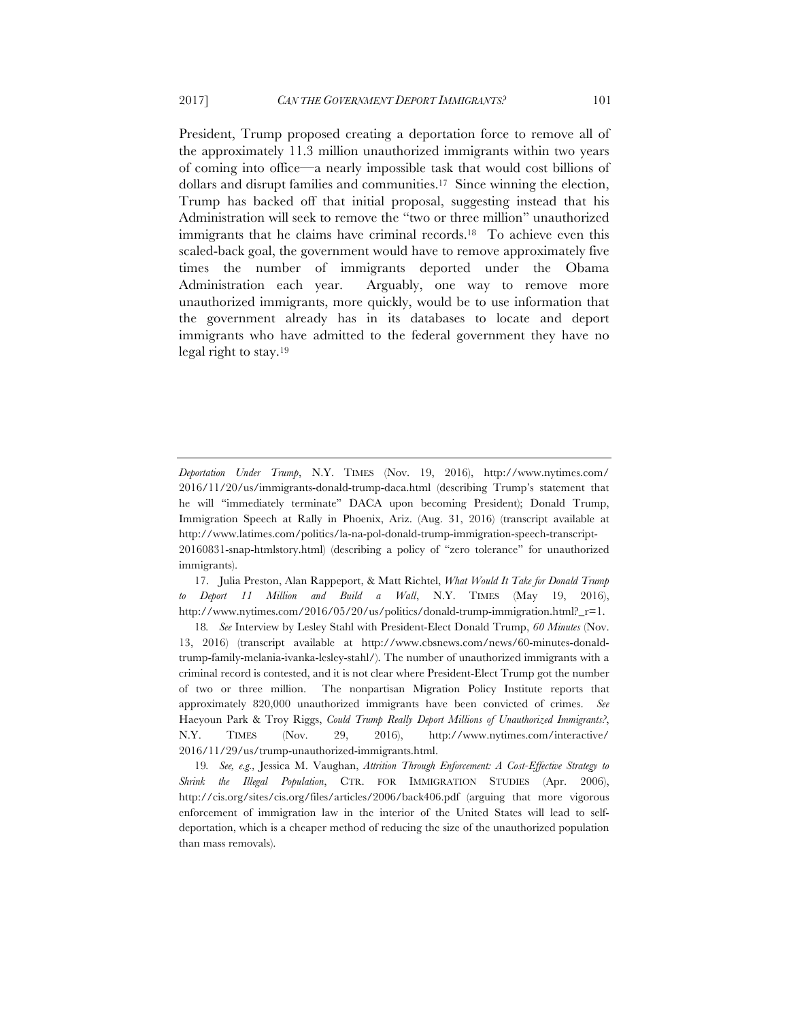President, Trump proposed creating a deportation force to remove all of the approximately 11.3 million unauthorized immigrants within two years of coming into office—a nearly impossible task that would cost billions of dollars and disrupt families and communities.17 Since winning the election, Trump has backed off that initial proposal, suggesting instead that his Administration will seek to remove the "two or three million" unauthorized immigrants that he claims have criminal records.<sup>18</sup> To achieve even this scaled-back goal, the government would have to remove approximately five times the number of immigrants deported under the Obama Administration each year. Arguably, one way to remove more unauthorized immigrants, more quickly, would be to use information that the government already has in its databases to locate and deport immigrants who have admitted to the federal government they have no legal right to stay.19

17. Julia Preston, Alan Rappeport, & Matt Richtel, *What Would It Take for Donald Trump to Deport 11 Million and Build a Wall*, N.Y. TIMES (May 19, 2016), http://www.nytimes.com/2016/05/20/us/politics/donald-trump-immigration.html?  $r=1$ .

18*. See* Interview by Lesley Stahl with President-Elect Donald Trump, *60 Minutes* (Nov. 13, 2016) (transcript available at http://www.cbsnews.com/news/60-minutes-donaldtrump-family-melania-ivanka-lesley-stahl/). The number of unauthorized immigrants with a criminal record is contested, and it is not clear where President-Elect Trump got the number of two or three million. The nonpartisan Migration Policy Institute reports that approximately 820,000 unauthorized immigrants have been convicted of crimes. *See*  Haeyoun Park & Troy Riggs, *Could Trump Really Deport Millions of Unauthorized Immigrants?*, N.Y. TIMES (Nov. 29, 2016), http://www.nytimes.com/interactive/ 2016/11/29/us/trump-unauthorized-immigrants.html.

19*. See, e.g.,* Jessica M. Vaughan, *Attrition Through Enforcement: A Cost-Effective Strategy to Shrink the Illegal Population*, CTR. FOR IMMIGRATION STUDIES (Apr. 2006), http://cis.org/sites/cis.org/files/articles/2006/back406.pdf (arguing that more vigorous enforcement of immigration law in the interior of the United States will lead to selfdeportation, which is a cheaper method of reducing the size of the unauthorized population than mass removals).

*Deportation Under Trump*, N.Y. TIMES (Nov. 19, 2016), http://www.nytimes.com/ 2016/11/20/us/immigrants-donald-trump-daca.html (describing Trump's statement that he will "immediately terminate" DACA upon becoming President); Donald Trump, Immigration Speech at Rally in Phoenix, Ariz. (Aug. 31, 2016) (transcript available at http://www.latimes.com/politics/la-na-pol-donald-trump-immigration-speech-transcript-20160831-snap-htmlstory.html) (describing a policy of "zero tolerance" for unauthorized immigrants).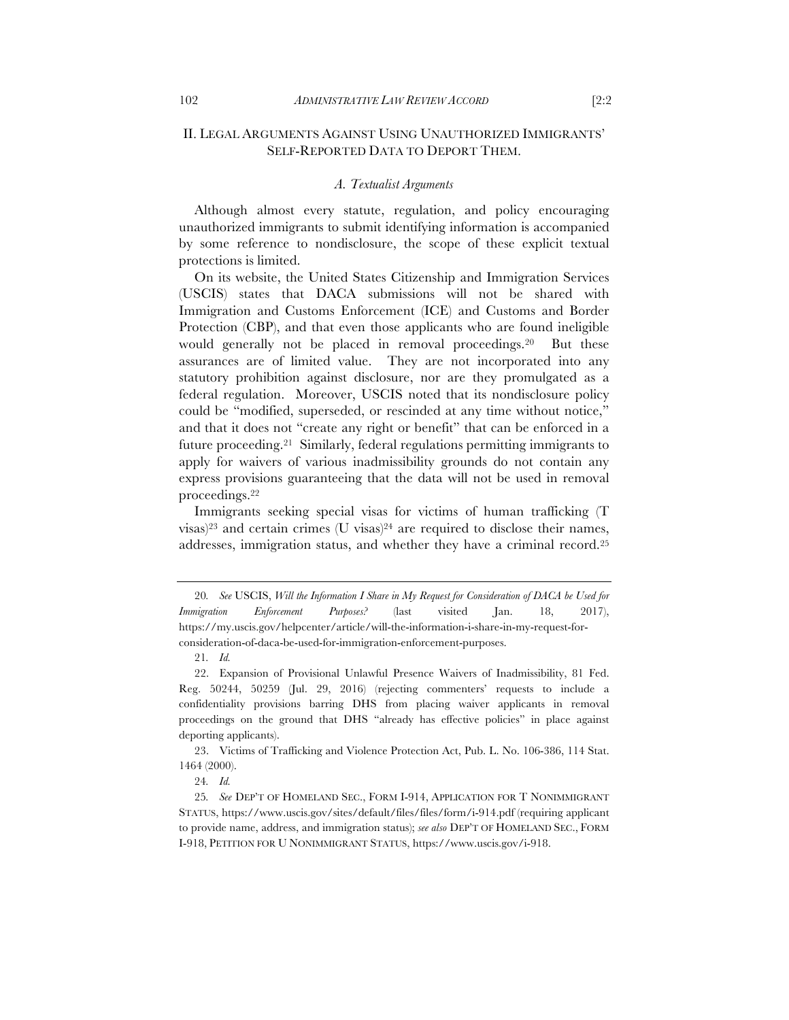# II. LEGAL ARGUMENTS AGAINST USING UNAUTHORIZED IMMIGRANTS' SELF-REPORTED DATA TO DEPORT THEM.

#### *A. Textualist Arguments*

Although almost every statute, regulation, and policy encouraging unauthorized immigrants to submit identifying information is accompanied by some reference to nondisclosure, the scope of these explicit textual protections is limited.

On its website, the United States Citizenship and Immigration Services (USCIS) states that DACA submissions will not be shared with Immigration and Customs Enforcement (ICE) and Customs and Border Protection (CBP), and that even those applicants who are found ineligible would generally not be placed in removal proceedings.20 But these assurances are of limited value. They are not incorporated into any statutory prohibition against disclosure, nor are they promulgated as a federal regulation. Moreover, USCIS noted that its nondisclosure policy could be "modified, superseded, or rescinded at any time without notice," and that it does not "create any right or benefit" that can be enforced in a future proceeding.21 Similarly, federal regulations permitting immigrants to apply for waivers of various inadmissibility grounds do not contain any express provisions guaranteeing that the data will not be used in removal proceedings.22

Immigrants seeking special visas for victims of human trafficking (T  $visas$ <sup>23</sup> and certain crimes (U visas)<sup>24</sup> are required to disclose their names, addresses, immigration status, and whether they have a criminal record.25

23. Victims of Trafficking and Violence Protection Act, Pub. L. No. 106-386, 114 Stat. 1464 (2000).

<sup>20</sup>*. See* USCIS, *Will the Information I Share in My Request for Consideration of DACA be Used for Immigration Enforcement Purposes?* (last visited Jan. 18, 2017), https://my.uscis.gov/helpcenter/article/will-the-information-i-share-in-my-request-forconsideration-of-daca-be-used-for-immigration-enforcement-purposes.

<sup>21</sup>*. Id.*

<sup>22.</sup> Expansion of Provisional Unlawful Presence Waivers of Inadmissibility, 81 Fed. Reg. 50244, 50259 (Jul. 29, 2016) (rejecting commenters' requests to include a confidentiality provisions barring DHS from placing waiver applicants in removal proceedings on the ground that DHS "already has effective policies" in place against deporting applicants).

<sup>24</sup>*. Id.*

<sup>25</sup>*. See* DEP'T OF HOMELAND SEC., FORM I-914, APPLICATION FOR T NONIMMIGRANT STATUS, https://www.uscis.gov/sites/default/files/files/form/i-914.pdf (requiring applicant to provide name, address, and immigration status); *see also* DEP'T OF HOMELAND SEC., FORM I-918, PETITION FOR U NONIMMIGRANT STATUS, https://www.uscis.gov/i-918.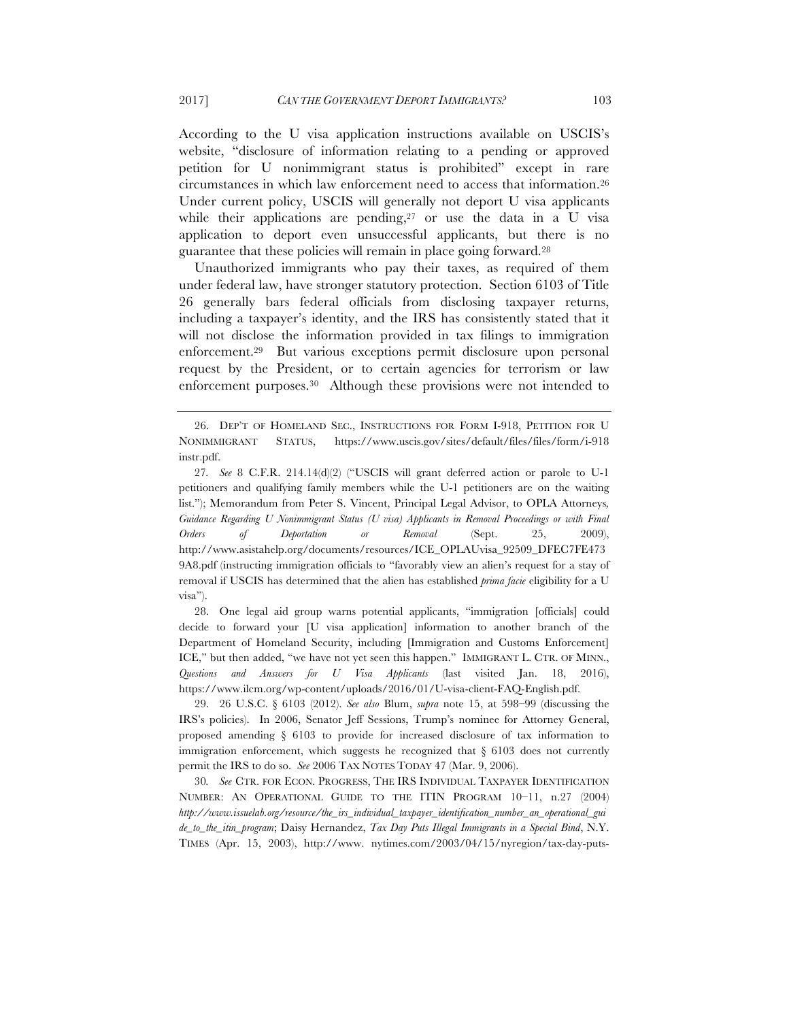According to the U visa application instructions available on USCIS's website, "disclosure of information relating to a pending or approved petition for U nonimmigrant status is prohibited" except in rare circumstances in which law enforcement need to access that information.26 Under current policy, USCIS will generally not deport U visa applicants while their applications are pending, $27$  or use the data in a U visa application to deport even unsuccessful applicants, but there is no guarantee that these policies will remain in place going forward.28

Unauthorized immigrants who pay their taxes, as required of them under federal law, have stronger statutory protection. Section 6103 of Title 26 generally bars federal officials from disclosing taxpayer returns, including a taxpayer's identity, and the IRS has consistently stated that it will not disclose the information provided in tax filings to immigration enforcement.29 But various exceptions permit disclosure upon personal request by the President, or to certain agencies for terrorism or law enforcement purposes.30 Although these provisions were not intended to

29. 26 U.S.C. § 6103 (2012). *See also* Blum, *supra* note 15, at 598–99 (discussing the IRS's policies). In 2006, Senator Jeff Sessions, Trump's nominee for Attorney General, proposed amending § 6103 to provide for increased disclosure of tax information to immigration enforcement, which suggests he recognized that  $\S$  6103 does not currently permit the IRS to do so. *See* 2006 TAX NOTES TODAY 47 (Mar. 9, 2006).

30*. See* CTR. FOR ECON. PROGRESS, THE IRS INDIVIDUAL TAXPAYER IDENTIFICATION NUMBER: AN OPERATIONAL GUIDE TO THE ITIN PROGRAM 10–11, n.27 (2004) *http://www.issuelab.org/resource/the\_irs\_individual\_taxpayer\_identification\_number\_an\_operational\_gui de\_to\_the\_itin\_program*; Daisy Hernandez, *Tax Day Puts Illegal Immigrants in a Special Bind*, N.Y. TIMES (Apr. 15, 2003), http://www. nytimes.com/2003/04/15/nyregion/tax-day-puts-

<sup>26.</sup> DEP'T OF HOMELAND SEC., INSTRUCTIONS FOR FORM I-918, PETITION FOR U NONIMMIGRANT STATUS, https://www.uscis.gov/sites/default/files/files/form/i-918 instr.pdf.

<sup>27</sup>*. See* 8 C.F.R. 214.14(d)(2) ("USCIS will grant deferred action or parole to U-1 petitioners and qualifying family members while the U-1 petitioners are on the waiting list."); Memorandum from Peter S. Vincent, Principal Legal Advisor, to OPLA Attorneys*, Guidance Regarding U Nonimmigrant Status (U visa) Applicants in Removal Proceedings or with Final Orders of Deportation or Removal* (Sept. 25, 2009), http://www.asistahelp.org/documents/resources/ICE\_OPLAUvisa\_92509\_DFEC7FE473 9A8.pdf (instructing immigration officials to "favorably view an alien's request for a stay of removal if USCIS has determined that the alien has established *prima facie* eligibility for a U visa").

<sup>28.</sup> One legal aid group warns potential applicants, "immigration [officials] could decide to forward your [U visa application] information to another branch of the Department of Homeland Security, including [Immigration and Customs Enforcement] ICE," but then added, "we have not yet seen this happen." IMMIGRANT L. CTR. OF MINN., *Questions and Answers for U Visa Applicants* (last visited Jan. 18, 2016), https://www.ilcm.org/wp-content/uploads/2016/01/U-visa-client-FAQ-English.pdf.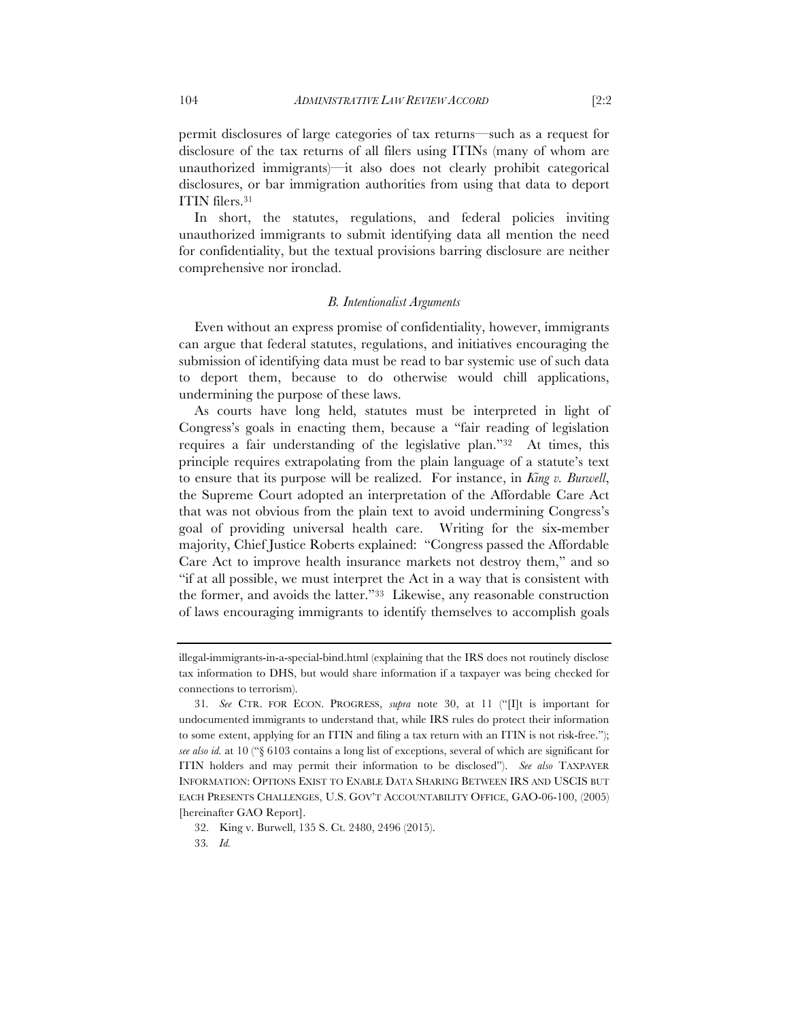permit disclosures of large categories of tax returns—such as a request for disclosure of the tax returns of all filers using ITINs (many of whom are unauthorized immigrants)—it also does not clearly prohibit categorical disclosures, or bar immigration authorities from using that data to deport ITIN filers.31

In short, the statutes, regulations, and federal policies inviting unauthorized immigrants to submit identifying data all mention the need for confidentiality, but the textual provisions barring disclosure are neither comprehensive nor ironclad.

#### *B. Intentionalist Arguments*

Even without an express promise of confidentiality, however, immigrants can argue that federal statutes, regulations, and initiatives encouraging the submission of identifying data must be read to bar systemic use of such data to deport them, because to do otherwise would chill applications, undermining the purpose of these laws.

As courts have long held, statutes must be interpreted in light of Congress's goals in enacting them, because a "fair reading of legislation requires a fair understanding of the legislative plan."32 At times, this principle requires extrapolating from the plain language of a statute's text to ensure that its purpose will be realized. For instance, in *King v. Burwell*, the Supreme Court adopted an interpretation of the Affordable Care Act that was not obvious from the plain text to avoid undermining Congress's goal of providing universal health care. Writing for the six-member majority, Chief Justice Roberts explained: "Congress passed the Affordable Care Act to improve health insurance markets not destroy them," and so "if at all possible, we must interpret the Act in a way that is consistent with the former, and avoids the latter."33 Likewise, any reasonable construction of laws encouraging immigrants to identify themselves to accomplish goals

illegal-immigrants-in-a-special-bind.html (explaining that the IRS does not routinely disclose tax information to DHS, but would share information if a taxpayer was being checked for connections to terrorism).

<sup>31</sup>*. See* CTR. FOR ECON. PROGRESS, *supra* note 30, at 11 ("[I]t is important for undocumented immigrants to understand that, while IRS rules do protect their information to some extent, applying for an ITIN and filing a tax return with an ITIN is not risk-free."); *see also id.* at 10 ("§ 6103 contains a long list of exceptions, several of which are significant for ITIN holders and may permit their information to be disclosed"). *See also* TAXPAYER INFORMATION: OPTIONS EXIST TO ENABLE DATA SHARING BETWEEN IRS AND USCIS BUT EACH PRESENTS CHALLENGES, U.S. GOV'T ACCOUNTABILITY OFFICE, GAO-06-100, (2005) [hereinafter GAO Report].

<sup>32.</sup> King v. Burwell, 135 S. Ct. 2480, 2496 (2015).

<sup>33</sup>*. Id.*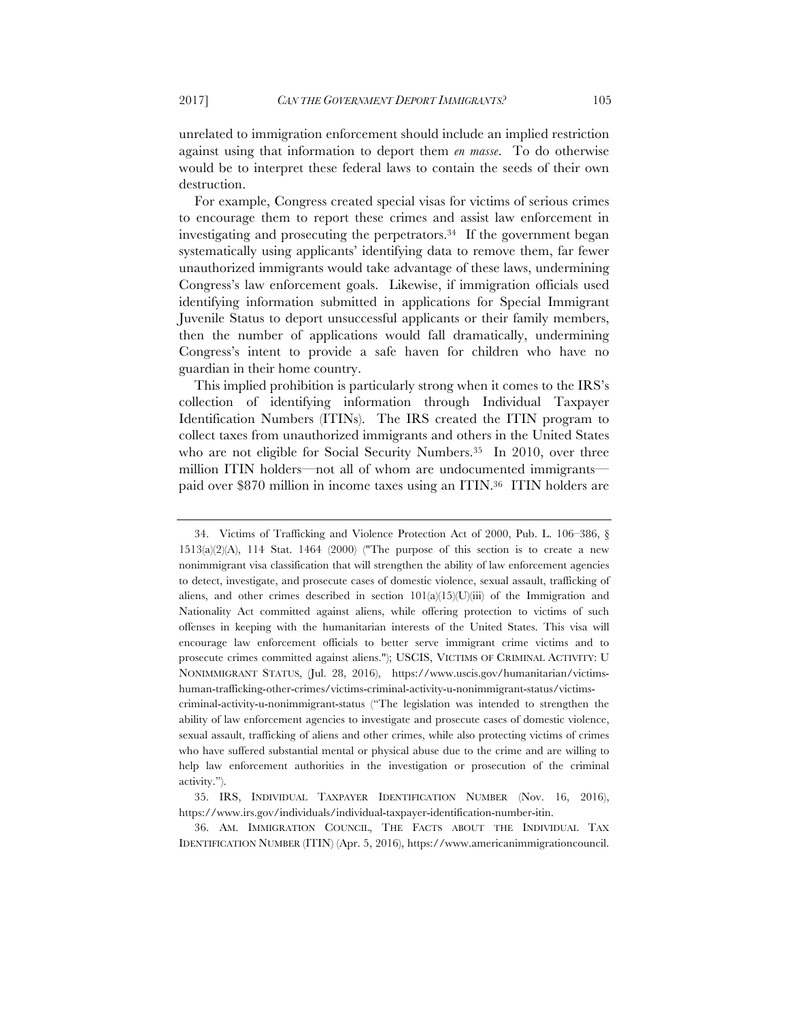unrelated to immigration enforcement should include an implied restriction against using that information to deport them *en masse*. To do otherwise would be to interpret these federal laws to contain the seeds of their own destruction.

For example, Congress created special visas for victims of serious crimes to encourage them to report these crimes and assist law enforcement in investigating and prosecuting the perpetrators.<sup>34</sup> If the government began systematically using applicants' identifying data to remove them, far fewer unauthorized immigrants would take advantage of these laws, undermining Congress's law enforcement goals. Likewise, if immigration officials used identifying information submitted in applications for Special Immigrant Juvenile Status to deport unsuccessful applicants or their family members, then the number of applications would fall dramatically, undermining Congress's intent to provide a safe haven for children who have no guardian in their home country.

This implied prohibition is particularly strong when it comes to the IRS's collection of identifying information through Individual Taxpayer Identification Numbers (ITINs). The IRS created the ITIN program to collect taxes from unauthorized immigrants and others in the United States who are not eligible for Social Security Numbers.<sup>35</sup> In 2010, over three million ITIN holders—not all of whom are undocumented immigrants paid over \$870 million in income taxes using an ITIN.36 ITIN holders are

<sup>34.</sup> Victims of Trafficking and Violence Protection Act of 2000, Pub. L. 106–386, §  $1513(a)(2)(A)$ ,  $114$  Stat.  $1464$  (2000) ("The purpose of this section is to create a new nonimmigrant visa classification that will strengthen the ability of law enforcement agencies to detect, investigate, and prosecute cases of domestic violence, sexual assault, trafficking of aliens, and other crimes described in section  $101(a)(15)(U)(iii)$  of the Immigration and Nationality Act committed against aliens, while offering protection to victims of such offenses in keeping with the humanitarian interests of the United States. This visa will encourage law enforcement officials to better serve immigrant crime victims and to prosecute crimes committed against aliens."); USCIS, VICTIMS OF CRIMINAL ACTIVITY: U NONIMMIGRANT STATUS, (Jul. 28, 2016), https://www.uscis.gov/humanitarian/victimshuman-trafficking-other-crimes/victims-criminal-activity-u-nonimmigrant-status/victimscriminal-activity-u-nonimmigrant-status ("The legislation was intended to strengthen the ability of law enforcement agencies to investigate and prosecute cases of domestic violence, sexual assault, trafficking of aliens and other crimes, while also protecting victims of crimes who have suffered substantial mental or physical abuse due to the crime and are willing to help law enforcement authorities in the investigation or prosecution of the criminal activity.").

<sup>35.</sup> IRS, INDIVIDUAL TAXPAYER IDENTIFICATION NUMBER (Nov. 16, 2016), https://www.irs.gov/individuals/individual-taxpayer-identification-number-itin.

<sup>36.</sup> AM. IMMIGRATION COUNCIL, THE FACTS ABOUT THE INDIVIDUAL TAX IDENTIFICATION NUMBER (ITIN) (Apr. 5, 2016), https://www.americanimmigrationcouncil.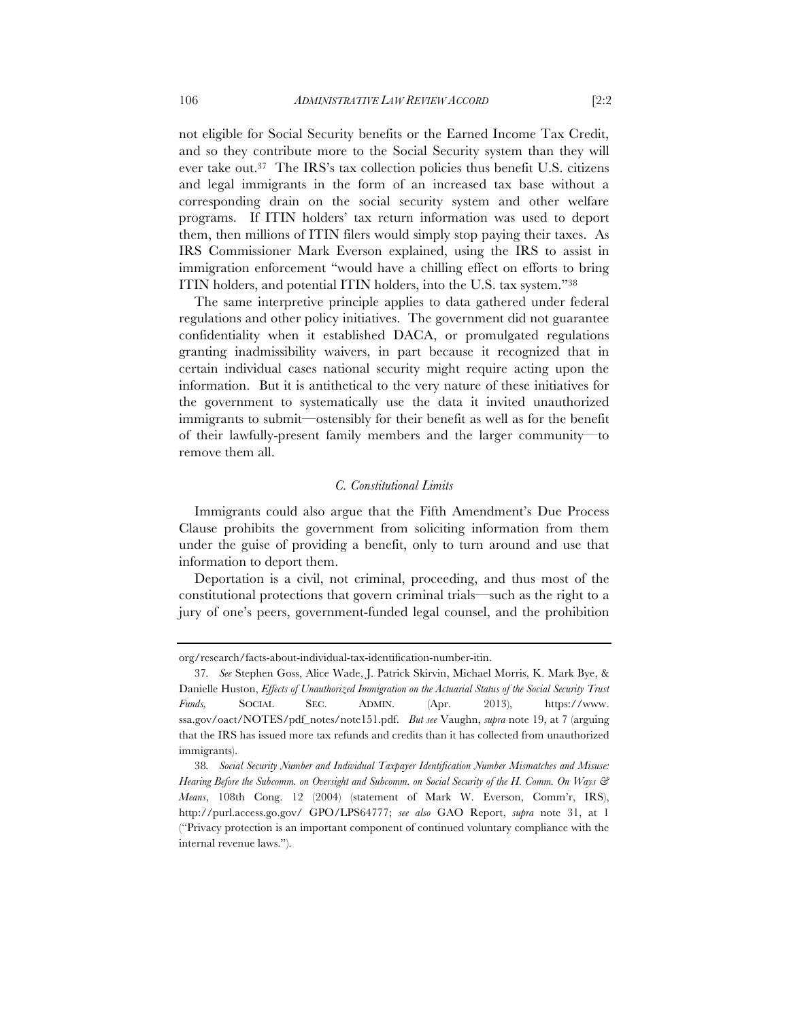not eligible for Social Security benefits or the Earned Income Tax Credit, and so they contribute more to the Social Security system than they will ever take out.37 The IRS's tax collection policies thus benefit U.S. citizens and legal immigrants in the form of an increased tax base without a corresponding drain on the social security system and other welfare programs. If ITIN holders' tax return information was used to deport them, then millions of ITIN filers would simply stop paying their taxes. As IRS Commissioner Mark Everson explained, using the IRS to assist in immigration enforcement "would have a chilling effect on efforts to bring ITIN holders, and potential ITIN holders, into the U.S. tax system."38

The same interpretive principle applies to data gathered under federal regulations and other policy initiatives. The government did not guarantee confidentiality when it established DACA, or promulgated regulations granting inadmissibility waivers, in part because it recognized that in certain individual cases national security might require acting upon the information. But it is antithetical to the very nature of these initiatives for the government to systematically use the data it invited unauthorized immigrants to submit—ostensibly for their benefit as well as for the benefit of their lawfully-present family members and the larger community—to remove them all.

## *C. Constitutional Limits*

Immigrants could also argue that the Fifth Amendment's Due Process Clause prohibits the government from soliciting information from them under the guise of providing a benefit, only to turn around and use that information to deport them.

Deportation is a civil, not criminal, proceeding, and thus most of the constitutional protections that govern criminal trials—such as the right to a jury of one's peers, government-funded legal counsel, and the prohibition

org/research/facts-about-individual-tax-identification-number-itin.

<sup>37</sup>*. See* Stephen Goss, Alice Wade, J. Patrick Skirvin, Michael Morris, K. Mark Bye, & Danielle Huston, *Effects of Unauthorized Immigration on the Actuarial Status of the Social Security Trust Funds,* SOCIAL SEC. ADMIN. (Apr. 2013), https://www. ssa.gov/oact/NOTES/pdf\_notes/note151.pdf. *But see* Vaughn, *supra* note 19, at 7 (arguing that the IRS has issued more tax refunds and credits than it has collected from unauthorized immigrants).

<sup>38</sup>*. Social Security Number and Individual Taxpayer Identification Number Mismatches and Misuse: Hearing Before the Subcomm. on Oversight and Subcomm. on Social Security of the H. Comm. On Ways & Means*, 108th Cong. 12 (2004) (statement of Mark W. Everson, Comm'r, IRS), http://purl.access.go.gov/ GPO/LPS64777; *see also* GAO Report, *supra* note 31, at 1 ("Privacy protection is an important component of continued voluntary compliance with the internal revenue laws.").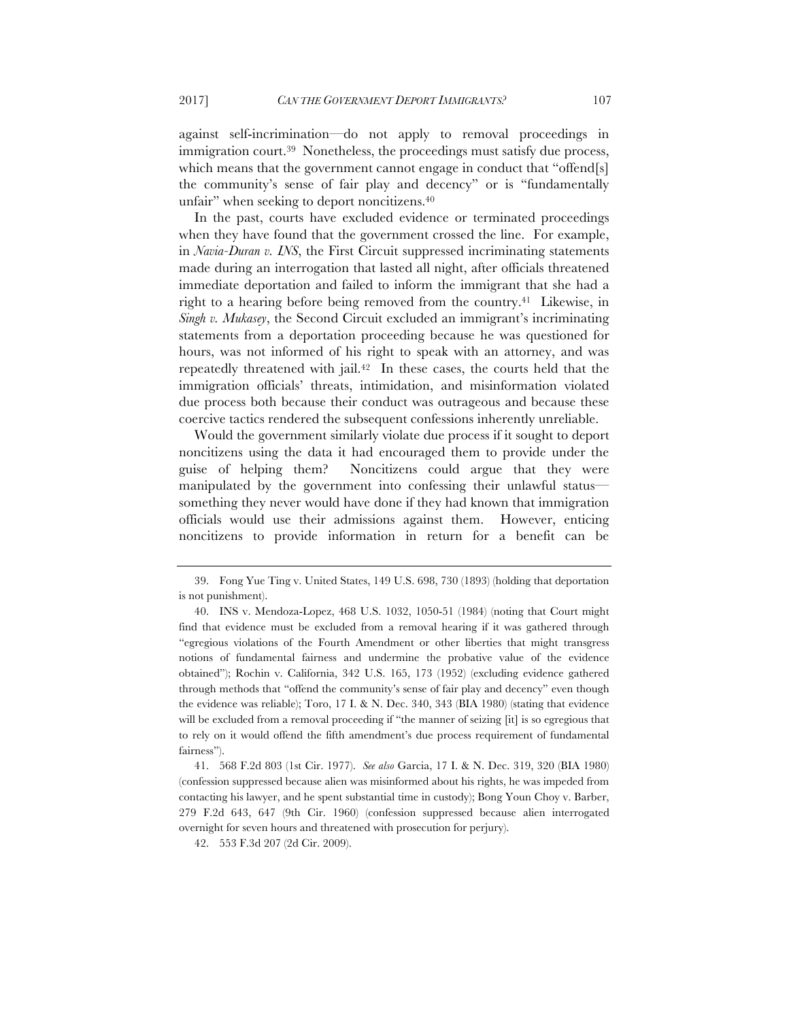against self-incrimination—do not apply to removal proceedings in immigration court.39 Nonetheless, the proceedings must satisfy due process, which means that the government cannot engage in conduct that "offend[s] the community's sense of fair play and decency" or is "fundamentally unfair" when seeking to deport noncitizens.40

In the past, courts have excluded evidence or terminated proceedings when they have found that the government crossed the line. For example, in *Navia-Duran v. INS*, the First Circuit suppressed incriminating statements made during an interrogation that lasted all night, after officials threatened immediate deportation and failed to inform the immigrant that she had a right to a hearing before being removed from the country.41 Likewise, in *Singh v. Mukasey*, the Second Circuit excluded an immigrant's incriminating statements from a deportation proceeding because he was questioned for hours, was not informed of his right to speak with an attorney, and was repeatedly threatened with jail.42 In these cases, the courts held that the immigration officials' threats, intimidation, and misinformation violated due process both because their conduct was outrageous and because these coercive tactics rendered the subsequent confessions inherently unreliable.

Would the government similarly violate due process if it sought to deport noncitizens using the data it had encouraged them to provide under the guise of helping them? Noncitizens could argue that they were manipulated by the government into confessing their unlawful status something they never would have done if they had known that immigration officials would use their admissions against them. However, enticing noncitizens to provide information in return for a benefit can be

41. 568 F.2d 803 (1st Cir. 1977). *See also* Garcia, 17 I. & N. Dec. 319, 320 (BIA 1980) (confession suppressed because alien was misinformed about his rights, he was impeded from contacting his lawyer, and he spent substantial time in custody); Bong Youn Choy v. Barber, 279 F.2d 643, 647 (9th Cir. 1960) (confession suppressed because alien interrogated overnight for seven hours and threatened with prosecution for perjury).

42. 553 F.3d 207 (2d Cir. 2009).

<sup>39.</sup> Fong Yue Ting v. United States, 149 U.S. 698, 730 (1893) (holding that deportation is not punishment).

<sup>40.</sup> INS v. Mendoza-Lopez, 468 U.S. 1032, 1050-51 (1984) (noting that Court might find that evidence must be excluded from a removal hearing if it was gathered through "egregious violations of the Fourth Amendment or other liberties that might transgress notions of fundamental fairness and undermine the probative value of the evidence obtained"); Rochin v. California, 342 U.S. 165, 173 (1952) (excluding evidence gathered through methods that "offend the community's sense of fair play and decency" even though the evidence was reliable); Toro, 17 I. & N. Dec. 340, 343 (BIA 1980) (stating that evidence will be excluded from a removal proceeding if "the manner of seizing [it] is so egregious that to rely on it would offend the fifth amendment's due process requirement of fundamental fairness").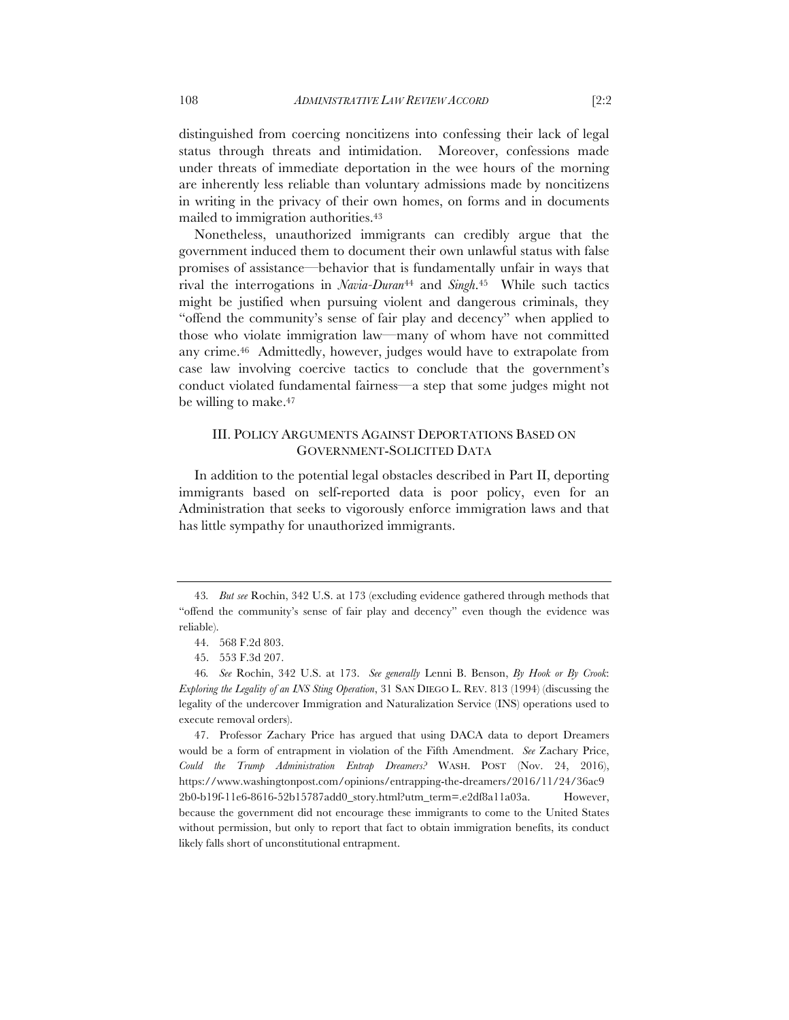distinguished from coercing noncitizens into confessing their lack of legal status through threats and intimidation. Moreover, confessions made under threats of immediate deportation in the wee hours of the morning are inherently less reliable than voluntary admissions made by noncitizens in writing in the privacy of their own homes, on forms and in documents mailed to immigration authorities.43

Nonetheless, unauthorized immigrants can credibly argue that the government induced them to document their own unlawful status with false promises of assistance—behavior that is fundamentally unfair in ways that rival the interrogations in *Navia-Duran*<sup>44</sup> and *Singh*.45 While such tactics might be justified when pursuing violent and dangerous criminals, they "offend the community's sense of fair play and decency" when applied to those who violate immigration law—many of whom have not committed any crime.46 Admittedly, however, judges would have to extrapolate from case law involving coercive tactics to conclude that the government's conduct violated fundamental fairness—a step that some judges might not be willing to make.<sup>47</sup>

## III. POLICY ARGUMENTS AGAINST DEPORTATIONS BASED ON GOVERNMENT-SOLICITED DATA

In addition to the potential legal obstacles described in Part II, deporting immigrants based on self-reported data is poor policy, even for an Administration that seeks to vigorously enforce immigration laws and that has little sympathy for unauthorized immigrants.

<sup>43</sup>*. But see* Rochin, 342 U.S. at 173 (excluding evidence gathered through methods that "offend the community's sense of fair play and decency" even though the evidence was reliable).

<sup>44.</sup> 568 F.2d 803.

<sup>45.</sup> 553 F.3d 207.

<sup>46</sup>*. See* Rochin, 342 U.S. at 173. *See generally* Lenni B. Benson, *By Hook or By Crook*: *Exploring the Legality of an INS Sting Operation*, 31 SAN DIEGO L. REV. 813 (1994) (discussing the legality of the undercover Immigration and Naturalization Service (INS) operations used to execute removal orders).

<sup>47.</sup> Professor Zachary Price has argued that using DACA data to deport Dreamers would be a form of entrapment in violation of the Fifth Amendment. *See* Zachary Price, *Could the Trump Administration Entrap Dreamers?* WASH. POST (Nov. 24, 2016), https://www.washingtonpost.com/opinions/entrapping-the-dreamers/2016/11/24/36ac9 2b0-b19f-11e6-8616-52b15787add0\_story.html?utm\_term=.e2df8a11a03a. However, because the government did not encourage these immigrants to come to the United States without permission, but only to report that fact to obtain immigration benefits, its conduct likely falls short of unconstitutional entrapment.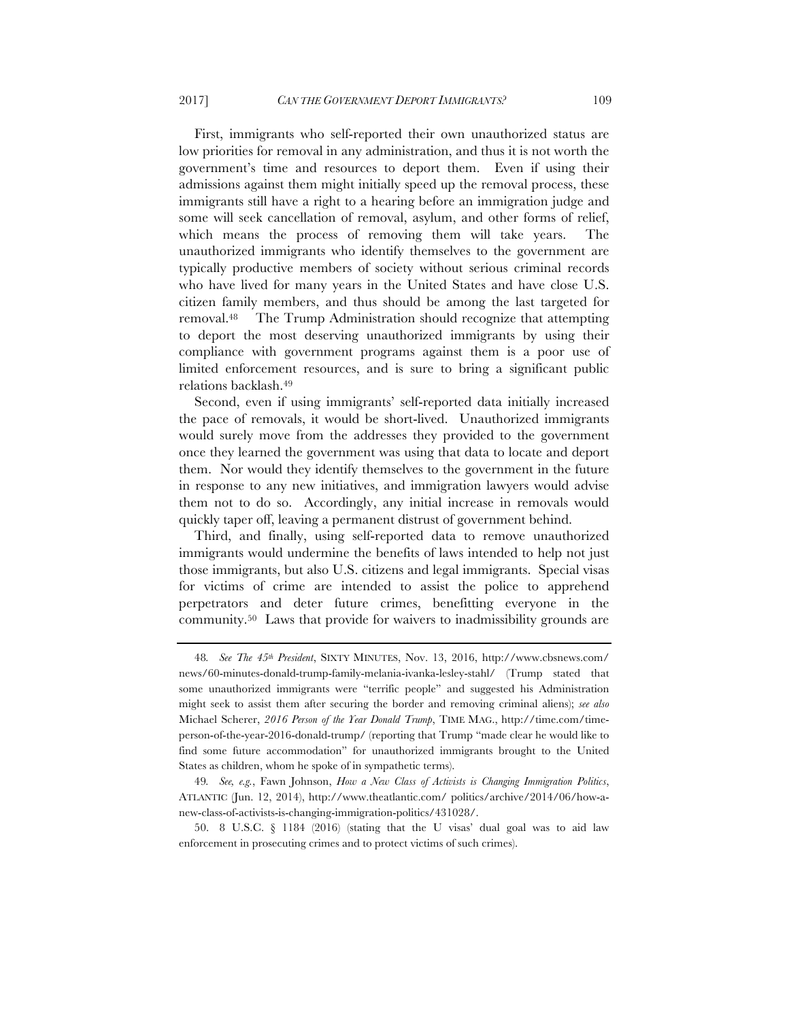First, immigrants who self-reported their own unauthorized status are low priorities for removal in any administration, and thus it is not worth the government's time and resources to deport them. Even if using their admissions against them might initially speed up the removal process, these immigrants still have a right to a hearing before an immigration judge and some will seek cancellation of removal, asylum, and other forms of relief, which means the process of removing them will take years. The unauthorized immigrants who identify themselves to the government are typically productive members of society without serious criminal records who have lived for many years in the United States and have close U.S. citizen family members, and thus should be among the last targeted for removal.48 The Trump Administration should recognize that attempting to deport the most deserving unauthorized immigrants by using their compliance with government programs against them is a poor use of limited enforcement resources, and is sure to bring a significant public relations backlash.49

Second, even if using immigrants' self-reported data initially increased the pace of removals, it would be short-lived. Unauthorized immigrants would surely move from the addresses they provided to the government once they learned the government was using that data to locate and deport them. Nor would they identify themselves to the government in the future in response to any new initiatives, and immigration lawyers would advise them not to do so. Accordingly, any initial increase in removals would quickly taper off, leaving a permanent distrust of government behind.

Third, and finally, using self-reported data to remove unauthorized immigrants would undermine the benefits of laws intended to help not just those immigrants, but also U.S. citizens and legal immigrants. Special visas for victims of crime are intended to assist the police to apprehend perpetrators and deter future crimes, benefitting everyone in the community.50 Laws that provide for waivers to inadmissibility grounds are

<sup>48</sup>*. See The 45th President*, SIXTY MINUTES, Nov. 13, 2016, http://www.cbsnews.com/ news/60-minutes-donald-trump-family-melania-ivanka-lesley-stahl/ (Trump stated that some unauthorized immigrants were "terrific people" and suggested his Administration might seek to assist them after securing the border and removing criminal aliens); *see also*  Michael Scherer, *2016 Person of the Year Donald Trump*, TIME MAG., http://time.com/timeperson-of-the-year-2016-donald-trump/ (reporting that Trump "made clear he would like to find some future accommodation" for unauthorized immigrants brought to the United States as children, whom he spoke of in sympathetic terms).

<sup>49</sup>*. See, e.g.*, Fawn Johnson, *How a New Class of Activists is Changing Immigration Politics*, ATLANTIC (Jun. 12, 2014), http://www.theatlantic.com/ politics/archive/2014/06/how-anew-class-of-activists-is-changing-immigration-politics/431028/.

<sup>50.</sup> 8 U.S.C. § 1184 (2016) (stating that the U visas' dual goal was to aid law enforcement in prosecuting crimes and to protect victims of such crimes).